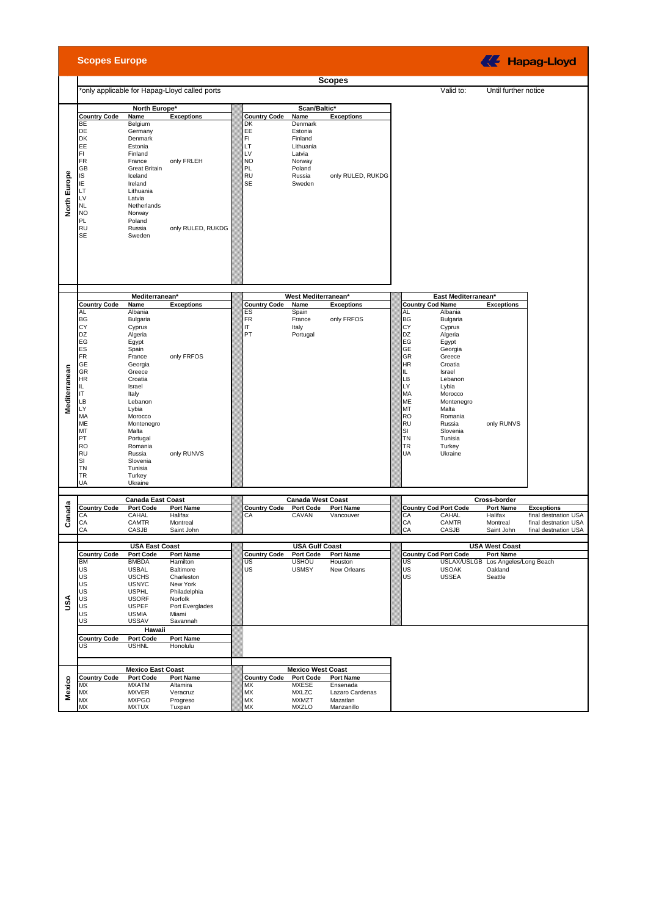|                     | <b>Scopes Europe</b>                                                                                                                                                             |                                                                                                                                                                                                                                                            |                                                                                                                                 |                                                                         |                                                                                              |                                                       |                                                                                                                                                                               |                         |                                                                                                                                                                                                                    |                                                                       | <b>KE</b> Hapag-Lloyd                                                |
|---------------------|----------------------------------------------------------------------------------------------------------------------------------------------------------------------------------|------------------------------------------------------------------------------------------------------------------------------------------------------------------------------------------------------------------------------------------------------------|---------------------------------------------------------------------------------------------------------------------------------|-------------------------------------------------------------------------|----------------------------------------------------------------------------------------------|-------------------------------------------------------|-------------------------------------------------------------------------------------------------------------------------------------------------------------------------------|-------------------------|--------------------------------------------------------------------------------------------------------------------------------------------------------------------------------------------------------------------|-----------------------------------------------------------------------|----------------------------------------------------------------------|
|                     |                                                                                                                                                                                  |                                                                                                                                                                                                                                                            |                                                                                                                                 |                                                                         |                                                                                              | <b>Scopes</b>                                         |                                                                                                                                                                               |                         |                                                                                                                                                                                                                    |                                                                       |                                                                      |
|                     |                                                                                                                                                                                  |                                                                                                                                                                                                                                                            | *only applicable for Hapag-Lloyd called ports                                                                                   |                                                                         |                                                                                              |                                                       |                                                                                                                                                                               |                         | Valid to:                                                                                                                                                                                                          | Until further notice                                                  |                                                                      |
|                     |                                                                                                                                                                                  | North Europe*                                                                                                                                                                                                                                              |                                                                                                                                 |                                                                         |                                                                                              |                                                       |                                                                                                                                                                               |                         |                                                                                                                                                                                                                    |                                                                       |                                                                      |
|                     | <b>Country Code</b>                                                                                                                                                              | Name                                                                                                                                                                                                                                                       | <b>Exceptions</b>                                                                                                               | <b>Country Code</b>                                                     | Scan/Baltic*<br>Name                                                                         | <b>Exceptions</b>                                     |                                                                                                                                                                               |                         |                                                                                                                                                                                                                    |                                                                       |                                                                      |
| <b>North Europe</b> | BE<br>DE<br>DK<br>EE<br>FI<br><b>FR</b><br>GB<br>IS<br>ΙE<br>LT<br>LV<br><b>NL</b>                                                                                               | Belgium<br>Germany<br>Denmark<br>Estonia<br>Finland<br>France<br><b>Great Britain</b><br>Iceland<br>Ireland<br>Lithuania<br>Latvia<br>Netherlands                                                                                                          | only FRLEH                                                                                                                      | DK<br>EE<br>FI<br>LT<br>LV<br><b>NO</b><br>PL<br><b>RU</b><br><b>SE</b> | Denmark<br>Estonia<br>Finland<br>Lithuania<br>Latvia<br>Norway<br>Poland<br>Russia<br>Sweden | only RULED, RUKDG                                     |                                                                                                                                                                               |                         |                                                                                                                                                                                                                    |                                                                       |                                                                      |
|                     | <b>NO</b><br>PL<br><b>RU</b><br><b>SE</b>                                                                                                                                        | Norway<br>Poland<br>Russia<br>Sweden                                                                                                                                                                                                                       | only RULED, RUKDG                                                                                                               |                                                                         |                                                                                              |                                                       |                                                                                                                                                                               |                         |                                                                                                                                                                                                                    |                                                                       |                                                                      |
|                     |                                                                                                                                                                                  | Mediterranean*                                                                                                                                                                                                                                             |                                                                                                                                 |                                                                         | West Mediterranean*                                                                          |                                                       |                                                                                                                                                                               |                         | East Mediterranean*                                                                                                                                                                                                |                                                                       |                                                                      |
|                     | <b>Country Code</b>                                                                                                                                                              | Name                                                                                                                                                                                                                                                       | <b>Exceptions</b>                                                                                                               | <b>Country Code</b>                                                     | Name                                                                                         | <b>Exceptions</b>                                     |                                                                                                                                                                               | <b>Country Cod Name</b> |                                                                                                                                                                                                                    | <b>Exceptions</b>                                                     |                                                                      |
| Mediterranean       | AL<br>BG<br>CY<br>DZ<br>EG<br>ES<br>FR<br>GE<br><b>GR</b><br><b>HR</b><br>IL.<br>ΙT<br>LB<br>LY<br>MA<br>ME<br>МT<br>PT<br><b>RO</b><br><b>RU</b><br>SI<br><b>TN</b><br>TR<br>UA | Albania<br>Bulgaria<br>Cyprus<br>Algeria<br>Egypt<br>Spain<br>France<br>Georgia<br>Greece<br>Croatia<br>Israel<br>Italy<br>Lebanon<br>Lybia<br>Morocco<br>Montenegro<br>Malta<br>Portugal<br>Romania<br>Russia<br>Slovenia<br>Tunisia<br>Turkey<br>Ukraine | only FRFOS<br>only RUNVS                                                                                                        | ES<br><b>FR</b><br>IT.<br>PT                                            | Spain<br>France<br>Italy<br>Portugal                                                         | only FRFOS                                            | AL<br><b>BG</b><br>CY<br>DZ<br>EG<br><b>GE</b><br>GR<br><b>HR</b><br>IL.<br>LB<br>LY<br>MA<br>ME<br>MT<br><b>RO</b><br><b>RU</b><br><b>SI</b><br><b>TN</b><br><b>TR</b><br>UA |                         | Albania<br>Bulgaria<br>Cyprus<br>Algeria<br>Egypt<br>Georgia<br>Greece<br>Croatia<br>Israel<br>Lebanon<br>Lybia<br>Morocco<br>Montenegro<br>Malta<br>Romania<br>Russia<br>Slovenia<br>Tunisia<br>Turkey<br>Ukraine | only RUNVS                                                            |                                                                      |
|                     |                                                                                                                                                                                  |                                                                                                                                                                                                                                                            |                                                                                                                                 |                                                                         |                                                                                              |                                                       |                                                                                                                                                                               |                         |                                                                                                                                                                                                                    |                                                                       |                                                                      |
|                     | <b>Country Code</b>                                                                                                                                                              | <b>Canada East Coast</b><br>Port Code                                                                                                                                                                                                                      | <b>Port Name</b>                                                                                                                | <b>Country Code</b>                                                     | <b>Canada West Coast</b><br><b>Port Code</b>                                                 | <b>Port Name</b>                                      |                                                                                                                                                                               |                         | <b>Country Cod Port Code</b>                                                                                                                                                                                       | Cross-border<br>Port Name                                             | <b>Exceptions</b>                                                    |
| Canada              | CA<br>CA<br>CA                                                                                                                                                                   | CAHAL<br>CAMTR<br>CASJB                                                                                                                                                                                                                                    | Halifax<br>Montreal<br>Saint John                                                                                               | CA                                                                      | CAVAN                                                                                        | Vancouver                                             | CA<br>CA<br><b>CA</b>                                                                                                                                                         |                         | CAHAL<br><b>CAMTR</b><br>CASJB                                                                                                                                                                                     | Halifax<br>Montreal<br>Saint John                                     | final destnation USA<br>final destnation USA<br>final destnation USA |
|                     |                                                                                                                                                                                  |                                                                                                                                                                                                                                                            |                                                                                                                                 |                                                                         |                                                                                              |                                                       |                                                                                                                                                                               |                         |                                                                                                                                                                                                                    |                                                                       |                                                                      |
| Šυ                  |                                                                                                                                                                                  | <b>USA East Coast</b>                                                                                                                                                                                                                                      |                                                                                                                                 |                                                                         | <b>USA Gulf Coast</b>                                                                        |                                                       |                                                                                                                                                                               |                         | <b>Country Cod Port Code</b>                                                                                                                                                                                       | <b>USA West Coast</b>                                                 |                                                                      |
|                     | <b>Country Code</b><br><b>BM</b><br>US<br>US<br>US<br>US<br>US<br>US<br>US<br>US                                                                                                 | Port Code<br><b>BMBDA</b><br><b>USBAL</b><br><b>USCHS</b><br><b>USNYC</b><br><b>USPHL</b><br><b>USORF</b><br><b>USPEF</b><br><b>USMIA</b><br><b>USSAV</b>                                                                                                  | Port Name<br>Hamilton<br>Baltimore<br>Charleston<br>New York<br>Philadelphia<br>Norfolk<br>Port Everglades<br>Miami<br>Savannah | <b>Country Code</b><br>US<br>US                                         | <b>Port Code</b><br><b>USHOU</b><br><b>USMSY</b>                                             | <b>Port Name</b><br>Houston<br>New Orleans            | US<br>US<br><b>US</b>                                                                                                                                                         |                         | <b>USOAK</b><br><b>USSEA</b>                                                                                                                                                                                       | Port Name<br>USLAX/USLGB Los Angeles/Long Beach<br>Oakland<br>Seattle |                                                                      |
|                     | <b>Country Code</b><br>US                                                                                                                                                        | Hawaii<br><b>Port Code</b><br><b>USHNL</b>                                                                                                                                                                                                                 | <b>Port Name</b><br>Honolulu                                                                                                    |                                                                         |                                                                                              |                                                       |                                                                                                                                                                               |                         |                                                                                                                                                                                                                    |                                                                       |                                                                      |
|                     |                                                                                                                                                                                  | <b>Mexico East Coast</b>                                                                                                                                                                                                                                   |                                                                                                                                 |                                                                         | <b>Mexico West Coast</b>                                                                     |                                                       |                                                                                                                                                                               |                         |                                                                                                                                                                                                                    |                                                                       |                                                                      |
|                     | <b>Country Code</b>                                                                                                                                                              | <b>Port Code</b>                                                                                                                                                                                                                                           | <b>Port Name</b>                                                                                                                | <b>Country Code</b>                                                     | <b>Port Code</b>                                                                             | <b>Port Name</b>                                      |                                                                                                                                                                               |                         |                                                                                                                                                                                                                    |                                                                       |                                                                      |
| Mexico              | MX<br>MX<br>MX<br>MX                                                                                                                                                             | <b>MXATM</b><br><b>MXVER</b><br><b>MXPGO</b><br><b>MXTUX</b>                                                                                                                                                                                               | Altamira<br>Veracruz<br>Progreso<br>Tuxpan                                                                                      | MX<br>MX<br><b>MX</b><br><b>MX</b>                                      | <b>MXESE</b><br><b>MXLZC</b><br><b>MXMZT</b><br><b>MXZLO</b>                                 | Ensenada<br>Lazaro Cardenas<br>Mazatlan<br>Manzanillo |                                                                                                                                                                               |                         |                                                                                                                                                                                                                    |                                                                       |                                                                      |